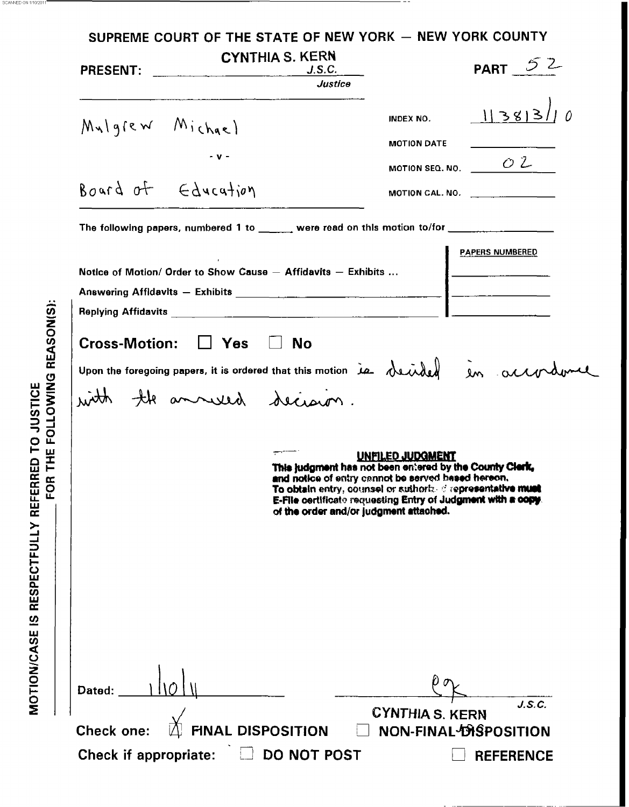|                                               |                                                                  | <b>CYNTHIA S. KERN</b><br>J.S.C.<br>Justice                                                    |                                                                                                                                                                                                                                                          | PART $52$                                                                         |
|-----------------------------------------------|------------------------------------------------------------------|------------------------------------------------------------------------------------------------|----------------------------------------------------------------------------------------------------------------------------------------------------------------------------------------------------------------------------------------------------------|-----------------------------------------------------------------------------------|
| $M_{\nu}$ lgrew Michael<br>Board of Education |                                                                  |                                                                                                | INDEX NO.<br><b>MOTION DATE</b>                                                                                                                                                                                                                          | 1383/10<br>MOTION SEQ. NO. $\sqrt{2}$<br>MOTION CAL. NO. $\qquad \qquad$          |
|                                               |                                                                  | The following papers, numbered 1 to _______ were read on this motion to/for __________________ |                                                                                                                                                                                                                                                          | <b>PAPERS NUMBERED</b>                                                            |
|                                               | Cross-Motion: $\Box$ Yes $\Box$ No<br>with the annuard decision. |                                                                                                |                                                                                                                                                                                                                                                          | upon the foregoing papers, it is ordered that this motion is decided in accordume |
|                                               |                                                                  | of the order and/or judgment attached.                                                         | UNFILED JUDGI<br>This judgment has not been entered by the County Cle<br>and notice of entry cannot be served based hereon.<br>To obtain entry, counsel or suthorbed representative must<br>E-File certificate requesting Entry of Judgment with a copy. |                                                                                   |
|                                               |                                                                  |                                                                                                |                                                                                                                                                                                                                                                          |                                                                                   |
|                                               |                                                                  |                                                                                                |                                                                                                                                                                                                                                                          |                                                                                   |

\_. SCANNEDON <sup>111012011</sup>

FOR THE FOLLOWING REASON(S): MOTION/CASE IS RESPECTFULLY REFERRED TO JUSTICE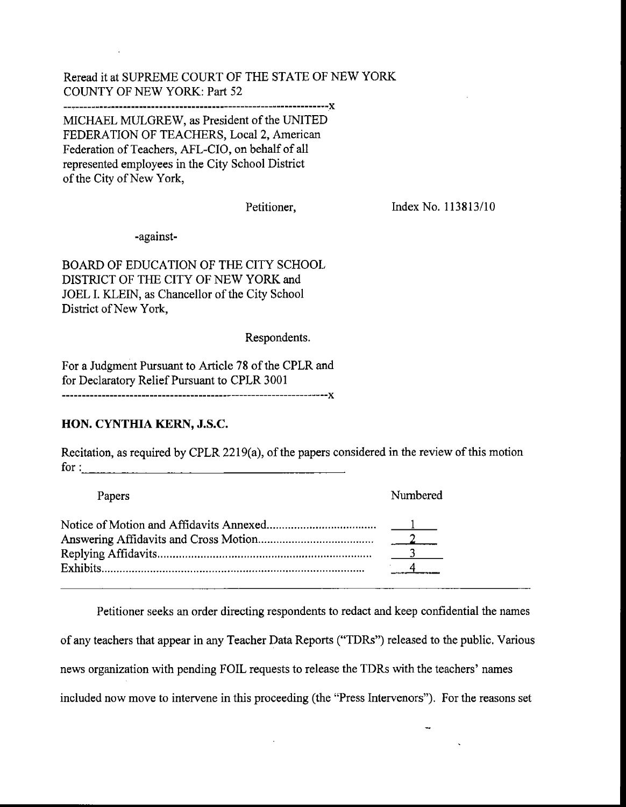Reread it at SUPREME COURT OF THE STATE OF NEW YON COUNTY OF NEW YORK: Part 52

**\_\_\_\_\_\_\_\_1\_1\_\_\_\_\_\_\_\_\_~\_\_\_\_\_------\_--\_\_\_---------------"\_\_\_\_\_\_\_-\_--" X** 

MICHAEL MULGREW, **as** President of the UNITED FEDERATION OF TEACHERS, Local **2,** American Federation of Teachers, AFL-CIO, on behalf of all represented employees in the City School District of the City of New York,

Petitioner,

Index No. 113813/10

-against-

BOARD OF EDUCATION OF THE CITY SCHOOL DISTRICT OF THE CITY OF NEW YORK and JOEL I. KLEIN, **as** Chancellor of the City School District of New York,

Respondents.

For a Judgment Pursuant to Article 78 of the CPLR and for Declaratory Relief Pursuant to CPLR 3001 

## **HON. CYNTHIA** KERN, **J.S.C.**

Recitation, as required by CPLR **22** 19(a), of the papers considered in the review of this motion for :

-

| Papers | Numbered |
|--------|----------|
|        |          |

Petitioner seeks **an** order directing respondents to redact and **keep** confidential the names of any teachers that appear in any Teacher Data Reports ("TDRs") released to the public. Various news organization with pending FOIL requests to release the TDRs with the teachers' names included now move to intervene in this proceeding (the "Press Intervenors"). For the reasons set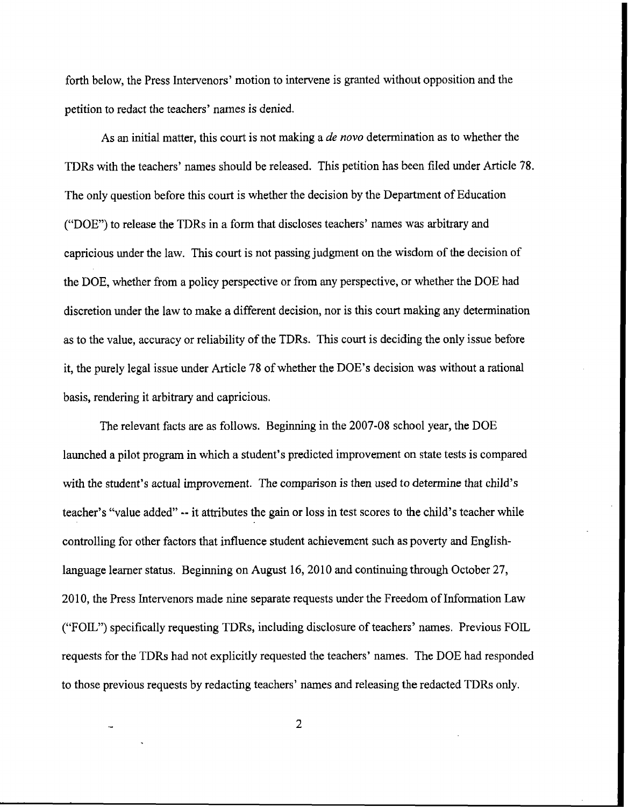forth below, the Press Intervenors' motion to intervene is granted without opposition and the petition to redact the teachers' names is denied.

**As an** initial matter, this court is not making a *de novo* determination as to whether the **TDRs** with the teachers' names should be released. This petition has been filed under Article **78.**  The only question before this court is whether the decision by the Department of Education (,'DOE''> to release the TDRs in a form that discloses teachers' names **was** arbitrary **and**  capricious under the law. This court is not passing judgment on the wisdom of the decision of the **DOE,** whether from **a** policy perspective or from any perspective, or whether the DOE had discretion under the law to make a different decision, nor is this court making any determination **as** to the value, accuracy or reliability of the TDRs. This court is deciding the only issue before it, the purely legal issue under Article 78 of whether the DOE'S decision was without a rational basis, rendering it arbitrary and capricious.

The relevant facts are **as** follows. Beginning in the 2007-08 school year, the DOE launched a pilot program in which **a** student's predicted improvement on state tests is compared with the student's actual improvement. **The** comparison is then used to determine that child's teacher's "value added" -- it attributes the gain or loss in test scores to the child's teacher while controlling for other factors that influence student achievement such as poverty **and** Englishlanguage learner status. Beginning on August 16,2010 and continuing through October **27,**  2010, the Press Intervenors made nine separate requests under the Freedom of Information Law **("FOIL")** specifically requesting TDRs, including disclosure of teachers' names. Previous FOIL requests for the TDRs had not explicitly requested the teachers' names. The DOE had responded to those previous requests by redacting teachers? names and releasing the redacted TDRs only.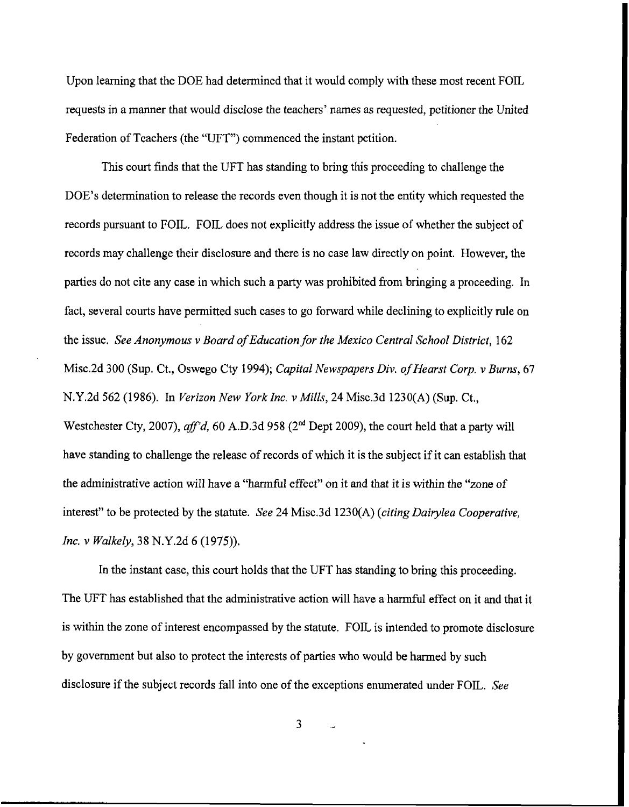Upon learning that the DOE had determined that it would comply with these most recent FOIL requests in a manner that would disclose the teachers' names **as** requested, petitioner the United Federation of Teachers (the "UFT") commenced the instant petition.

This court finds that the UFT has standing to bring this proceeding to challenge the DOE's determination to release the records even though it is not the entity which requested the records pursuant to FOIL. FOIL does not explicitly address the issue of whether the subject of records may challenge their disclosure and there is no case law directly on point. However, the parties do not cite any case in which such a party was prohibited from bringing a proceeding. In fact, several courts have permitted such cases to go forward while declining to explicitly rule on the issue. *See Anonymous* v *Board of Education for the Mexico Central School District,* **162**  Misc.2d 300 (Sup. Ct., Oswego Cty 1994); *Capital Newspapers Div. of Hearst Corp. v Burns, 67*  N.Y.2d *562* (1986). In *Verizon New YorkInc. v Mills,* 24 Misc.3d 1230(A) **(Sup.** Ct., Westchester Cty, 2007), *aff'd*, 60 A.D.3d 958 (2<sup>nd</sup> Dept 2009), the court held that a party will have standing to challenge the release of records of which it is the subject if it can establish that the administrative action will have a "harmful effect" on it and that it is within the "zone of interest" to be protected by the statute. *See* 24 Misc.3d 1230(A) *(citing Dairylea Cooperative, Inc. v Walkely,* **38** N.Y.2d **6** (1975)).

In the instant case, this court holds that the UFT has standing to bring this proceeding. The UFT has established that the administrative action will have a harmful effect on it and that it is within the zone of interest encompassed by the statute. FOIL is intended to promote disclosure by government but also to protect the interests of parties who would be harmed by such disclosure if the subject records fall into one of the exceptions enumerated under FOIL. *See*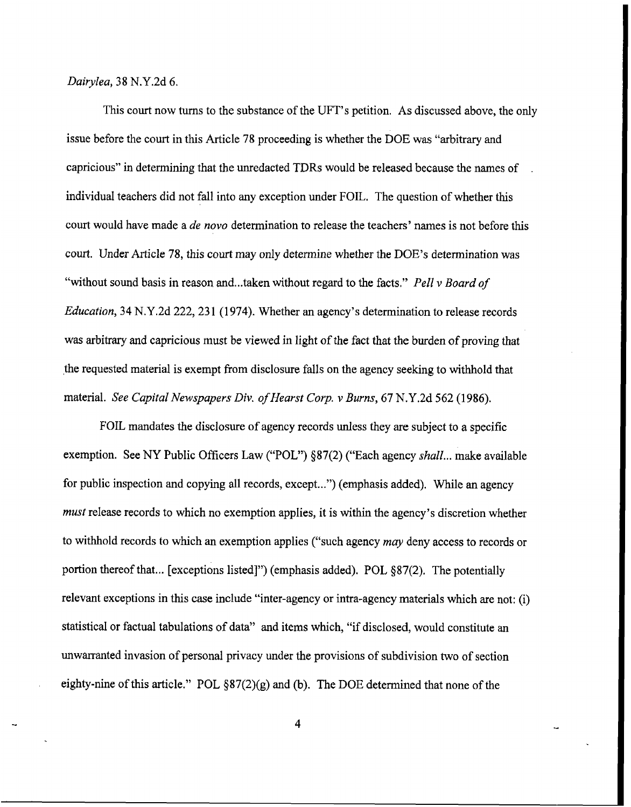*Dairylea, 38* N.Y.2d *6.* 

This court now turns to the substance of the UFT's petition. **As** discussed above, the only issue before the court in this Article 78 proceeding is whether the DOE **was "arbitrary and**  capricious" in determining that the unredacted TDRs would be released because the names of individual teachers did not fall into any exception under FOIL. The question of whether this court would **have** made a *de novo* determination to release the teachers' names is not before this court. Under Article 78, this court may only determine whether the DOE's determination was "without sound basis in reason and...taken without regard to the facts." *Pel1 v Board of Education*, 34 N.Y.2d 222, 231 (1974). Whether an agency's determination to release records **was arbitrary** and capricious must be viewed in light of the fact that the burden of proving that the requested material is exempt from disclosure falls on the agency seeking to withhold that material. *See Capital Newspapers Div. of Hearst Corp. v Burns, 67* N.Y.2d *562* (1 **986).** 

FOLL mandates the disclosure of agency records unless they are subject to a specific exemption. See NY Public Officers Law ("POL") **§87(2)** ("Each agency *shall* ... make available for public inspection and copying all records, except...") (emphasis added), While **an** agency *must* release records to which no exemption applies, it is within the agency's discretion whether to withhold records to which an exemption applies ("such agency *may* deny access to records or portion thereof that ... [exceptions listed]") (emphasis added). POL **§87(2).** The potentially relevant exceptions in this case include "inter-agency or intra-agency materials which are not: (i) statistical or factual tabulations of data" and items which, "if disclosed, would constitute **an**  unwarranted invasion of personal privacy under the provisions of subdivision two of section eighty-nine of this article." POL §87(2)(g) and (b). The DOE determined that none of the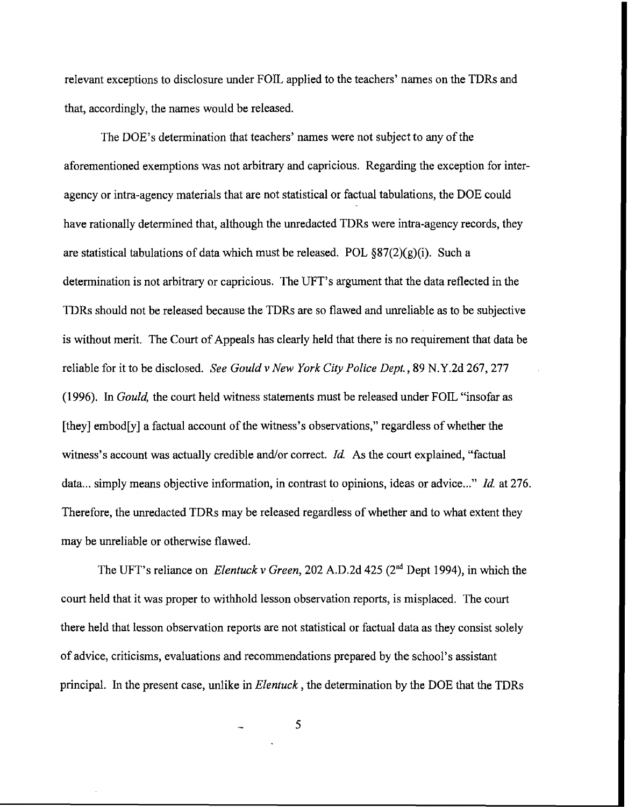relevant exceptions to disclosure under FOIL applied to the teachers' names on the TDRs and that, accordingly, the names would be released.

The DOE'S determination that teachers' names were not subject to any of the aforementioned exemptions was not arbitrary and capricious. Regarding the exception for interagency or intra-agency materials that are not statistical or factual tabulations, the DOE could have rationally determined that, although the unredacted TDRs were intra-agency records, they are statistical tabulations of data which must be released. POL  $\S 87(2)(g)(i)$ . Such a determination is not arbitrary or capricious. The UFT's argument that the data reflected in the TDRs should not be released because the TDRs are so flawed and unreliable as to be subjective is without merit. The Court of Appeals has clearly held that there is no requirement that data be reliable for it to be disclosed. *See Gould* v *New York City Police Dept.,* **89 N.Y.2d 267,277**  (1 996). In *Gould,* the court held witness statements must be released under **FOIL** "insofar **as**  [they] embod[y] a factual account of the witness's observations," regardless of whether the witness's account was actually credible and/or correct. *Id.* As the court explained, "factual data ... simply means objective information, in contrast to opinions, ideas or advice ..." *Id.* at *276.*  Therefore, the unredacted TDRs may be released regardless of whether **and** to what extent they may be unreliable or otherwise flawed.

The UFT's reliance on *Elentuck* v *Green,* 202 A.D.2d 425 **(2nd** Dept 1994), in which the court held that it was proper to withhold lesson observation reports, is misplaced. The court there held that lesson observation reports are not statistical or factual data as they consist solely of advice, criticisms, evaluations and recommendations prepared by the school's assistant principal. In the present case, unlike in *Elentuck,* the determination by the **DOE** that the TDRs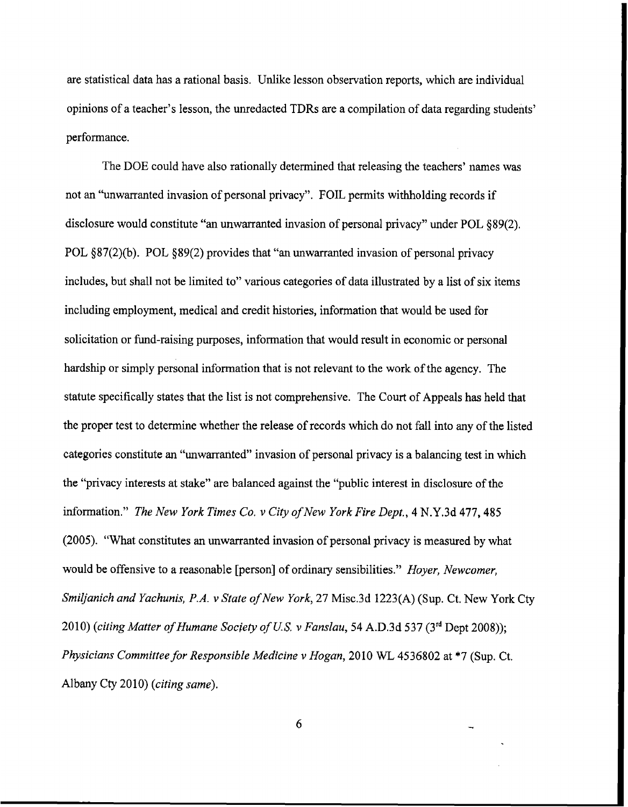are statistical data has a rational basis. Unlike lesson observation reports, which are individual opinions of a teacher's lesson, the unredacted TDRs are a compilation of data regarding students' performance.

The DOE could have also rationally determined that releasing the teachers' names **was**  not an "unwarranted invasion of personal privacy". FOIL permits withholding records if disclosure would constitute **"an** unwarranted invasion of personal **privacy"** under POL §89(2). POL §87(2)(b). POL §89(2) provides that **"an** unwarranted invasion of personal privacy includes, but shall not be limited to" various categories of data illustrated by a list of **six** items including employment, medical **and** credit histories, information that would be used for solicitation or fund-raising purposes, information that would result in economic or personal hardship or simply personal information that is not relevant to **the** work of the agency. The statute specifically states that the list is not comprehensive. The Court of Appeals has held that the proper test to determine whether the release of records which do not fall into any of the listed categories constitute **an** "unwarranted" invasion of personal privacy is a balancing test in which the "privacy interests at stake" are balanced against the "public interest in disclosure of the information." *The New York Times Co. v City ofNew York Fire Dept.,* **4** N.Y.3d 477,485 (2005). "What constitutes **an** unwarranted invasion of personal privacy is measured by what would be offensive to a reasonable [person] of ordinary sensibilities." *Hoyer, Newcomer, Smiljanich and Yachunis, P.A. v State of New York, 27* Misc.3d **1223(A)** (Sup. Ct. New York Cty 2010) *(citing Matter of Humane Sociely of US. v Fanslau,* 54 A.D.3d 537 **(3rd** Dept 2008)); *Physicians Committee for Responsible Medicine v Hogan,* 2010 WL **4536802** at *\*7* **(Sup.** Ct. Albany Cty 2010) *(citing same).*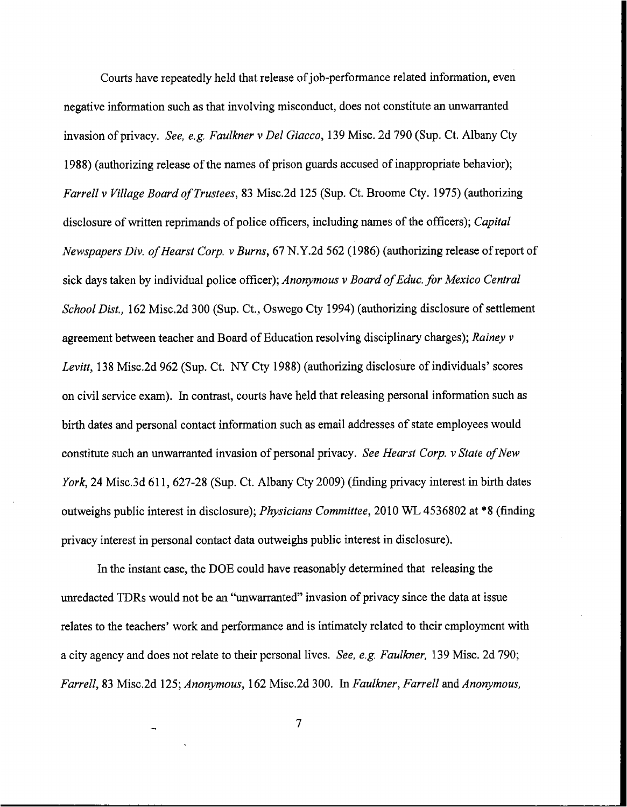Courts have repeatedly held that release of job-performance related information, even negative information such as that involving misconduct, does not constitute an unwarranted invasion of privacy. *See, e.g. Faulkner v Del Giacco,* 139 Misc. 2d 790 (Sup. Ct. Albany **Cty**  1988) (authorizing release of the names of prison guards accused of inappropriate behavior); *Farrell* v *Village Board of Trustees,* **83** Misc.2d 125 **(Sup.** Ct. Broome Cty. 1975) (authorizing disclosure of written reprimands of police officers, including names of the officers); *Capital Newspapers Div. of Hearst Corp. v Burns, 67* N.Y.2d 562 (1986) (authorizing release of report of **sick** days taken by individual police officer); *Anonymous* v *Board of Educ. for Mexico Central School Dist.,* 162 Misc.2d 300 **(Sup.** Ct., Oswego **Cty** 1994) (authorizing disclosure of settlement agreement between teacher and Board of Education resolving disciplinary charges); *Rainey* v *Levitt,* 138 Misc.2d **962 (Sup.** Ct. *NY* Cty 1988) (authorizing disclosure of individuals' scores on civil service exam). **In** contrast, courts have held that releasing personal information such as birth dates and personal contact information such as email addresses of state employees would constitute such an unwarranted invasion of personal privacy. *See Hearst Corp. v State of New York*, 24 Misc.3d 611, 627-28 (Sup. Ct. Albany Cty 2009) (finding privacy interest in birth dates outweighs public interest in disclosure); *Physicians Committee,* 2010 WL 4536802 at **\*S** (finding privacy interest in personal contact data outweighs public interest in disclosure).

In the instant case, the DOE could have reasonably determined that releasing the unredacted TDRs would not be an "unwarranted" invasion of privacy since the data at issue relates to the teachers' work and performance and is intimately related to their employment with a city agency and does not relate to their personal lives. *See, e.g. Faulkner,* 139 Misc. 2d 790; *Farrell,* 83 Misc.2d 125; *Anonymous,* 162 Misc.2d 300. In *Faulkner, Farrell* **and** *Anonymous,* 

 $\overline{7}$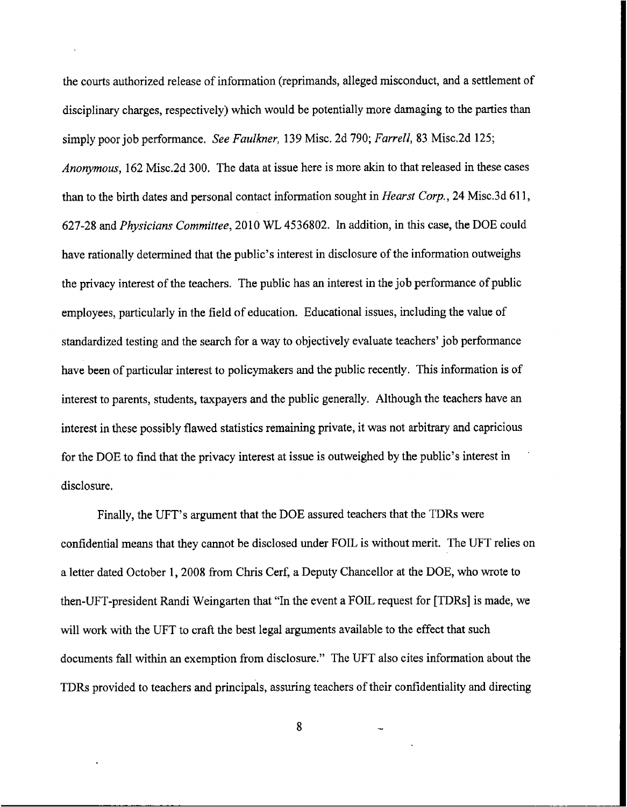the courts authorized release of information (reprimands, alleged misconduct, and a settlement of disciplinary charges, respectively) which would be potentially more damaging to the parties than simply poor job performance, *See Faulkner,* 139 Misc. 2d **790;** *Farrell, 83* Misc.2d 125; *Anonymous,* **162** Misc.2d *300.* The data at issue here is more akin to that released in these cases **than** to the birth dates and personal contact information sought in *Hearst Corp.,* **24** Misc.3d 61 1, 627-28 and *Physicians Committee,* 2010 *WL* 4536802. In addition, in this case, the DOE could have rationally determined that the public's interest in disclosure of the information outweighs the privacy interest of the teachers. The public has **an** interest in the job performance of public employees, particularly in the field of education. Educational issues, including the value of standardized testing and the search for a way to objectively evaluate teachers' job performance have been of particular interest to policymakers and the public recently. This information is of interest to parents, students, taxpayers and the public generally. Although the teachers have an interest in these possibly flawed statistics remaining private, it was not arbitrary **and** capricious for the DOE to find that the privacy interest at issue is outweighed by the public's interest in disclosure.

Finally, the UFT's argument that the DOE assured teachers that the TDRs were confidential means that they cannot be disclosed under FOIL is without merit. The UFT relies on a letter dated October 1,2008 from Chris Cerf, a Deputy Chancellor at the DOE, who wrote to then-UFT-president Randi Weingarten that "In the event a FOIL request for [TDRs] is made, we will **work** with the UFT to craft the best legal arguments available to the effect that such documents fall within an exemption from disclosure." The UFT also cites information about the TDRs provided to teachers and principals, assuring teachers of their confidentiality and directing